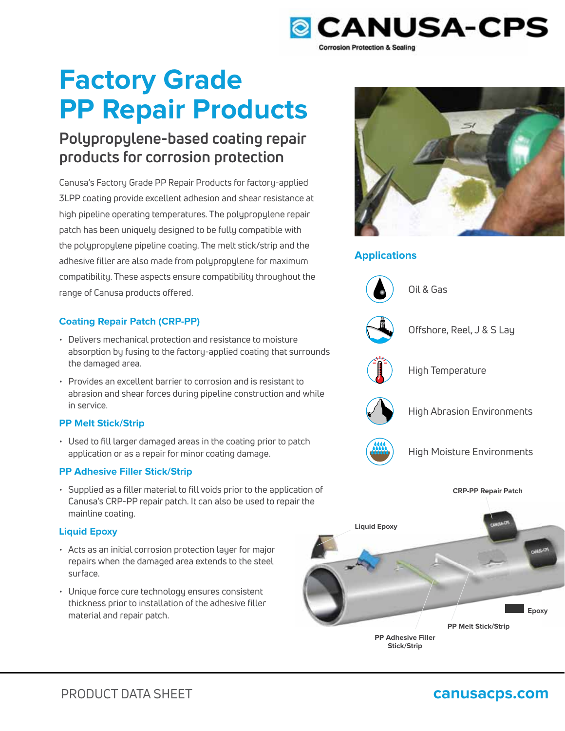

# **Factory Grade PP Repair Products**

# **Polypropylene-based coating repair products for corrosion protection**

Canusa's Factory Grade PP Repair Products for factory-applied 3LPP coating provide excellent adhesion and shear resistance at high pipeline operating temperatures. The polypropylene repair patch has been uniquely designed to be fully compatible with the polypropylene pipeline coating. The melt stick/strip and the adhesive filler are also made from polypropylene for maximum compatibility. These aspects ensure compatibility throughout the range of Canusa products offered.

## **Coating Repair Patch (CRP-PP)**

- Delivers mechanical protection and resistance to moisture absorption by fusing to the factory-applied coating that surrounds the damaged area.
- Provides an excellent barrier to corrosion and is resistant to abrasion and shear forces during pipeline construction and while in service.

### **PP Melt Stick/Strip**

• Used to fill larger damaged areas in the coating prior to patch application or as a repair for minor coating damage.

### **PP Adhesive Filler Stick/Strip**

• Supplied as a filler material to fill voids prior to the application of Canusa's CRP-PP repair patch. It can also be used to repair the mainline coating.

## **Liquid Epoxy**

- Acts as an initial corrosion protection layer for major repairs when the damaged area extends to the steel surface.
- Unique force cure technology ensures consistent thickness prior to installation of the adhesive filler material and repair patch.



# **Applications**



Oil & Gas



Offshore, Reel, J & S Lay



High Temperature



High Abrasion Environments



High Moisture Environments